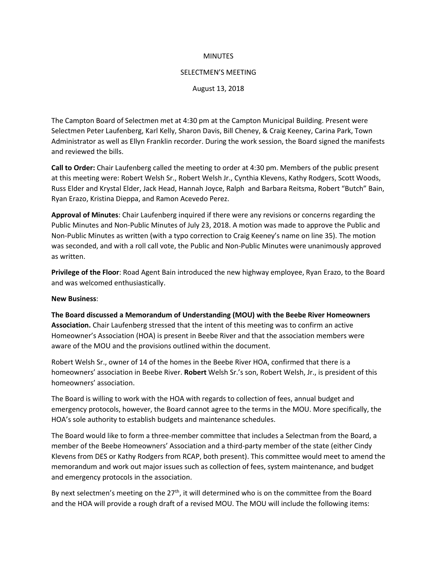#### **MINUTES**

#### SELECTMEN'S MEETING

August 13, 2018

The Campton Board of Selectmen met at 4:30 pm at the Campton Municipal Building. Present were Selectmen Peter Laufenberg, Karl Kelly, Sharon Davis, Bill Cheney, & Craig Keeney, Carina Park, Town Administrator as well as Ellyn Franklin recorder. During the work session, the Board signed the manifests and reviewed the bills.

**Call to Order:** Chair Laufenberg called the meeting to order at 4:30 pm. Members of the public present at this meeting were: Robert Welsh Sr., Robert Welsh Jr., Cynthia Klevens, Kathy Rodgers, Scott Woods, Russ Elder and Krystal Elder, Jack Head, Hannah Joyce, Ralph and Barbara Reitsma, Robert "Butch" Bain, Ryan Erazo, Kristina Dieppa, and Ramon Acevedo Perez.

**Approval of Minutes**: Chair Laufenberg inquired if there were any revisions or concerns regarding the Public Minutes and Non-Public Minutes of July 23, 2018. A motion was made to approve the Public and Non-Public Minutes as written (with a typo correction to Craig Keeney's name on line 35). The motion was seconded, and with a roll call vote, the Public and Non-Public Minutes were unanimously approved as written.

**Privilege of the Floor**: Road Agent Bain introduced the new highway employee, Ryan Erazo, to the Board and was welcomed enthusiastically.

## **New Business**:

**The Board discussed a Memorandum of Understanding (MOU) with the Beebe River Homeowners Association.** Chair Laufenberg stressed that the intent of this meeting was to confirm an active Homeowner's Association (HOA) is present in Beebe River and that the association members were aware of the MOU and the provisions outlined within the document.

Robert Welsh Sr., owner of 14 of the homes in the Beebe River HOA, confirmed that there is a homeowners' association in Beebe River. **Robert** Welsh Sr.'s son, Robert Welsh, Jr., is president of this homeowners' association.

The Board is willing to work with the HOA with regards to collection of fees, annual budget and emergency protocols, however, the Board cannot agree to the terms in the MOU. More specifically, the HOA's sole authority to establish budgets and maintenance schedules.

The Board would like to form a three-member committee that includes a Selectman from the Board, a member of the Beebe Homeowners' Association and a third-party member of the state (either Cindy Klevens from DES or Kathy Rodgers from RCAP, both present). This committee would meet to amend the memorandum and work out major issues such as collection of fees, system maintenance, and budget and emergency protocols in the association.

By next selectmen's meeting on the 27<sup>th</sup>, it will determined who is on the committee from the Board and the HOA will provide a rough draft of a revised MOU. The MOU will include the following items: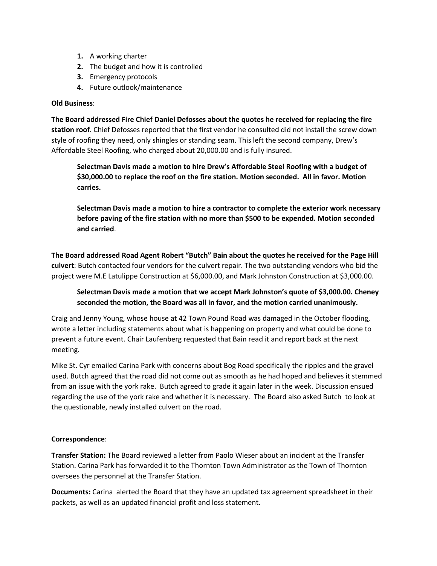- **1.** A working charter
- **2.** The budget and how it is controlled
- **3.** Emergency protocols
- **4.** Future outlook/maintenance

## **Old Business**:

**The Board addressed Fire Chief Daniel Defosses about the quotes he received for replacing the fire station roof**. Chief Defosses reported that the first vendor he consulted did not install the screw down style of roofing they need, only shingles or standing seam. This left the second company, Drew's Affordable Steel Roofing, who charged about 20,000.00 and is fully insured.

**Selectman Davis made a motion to hire Drew's Affordable Steel Roofing with a budget of \$30,000.00 to replace the roof on the fire station. Motion seconded. All in favor. Motion carries.**

**Selectman Davis made a motion to hire a contractor to complete the exterior work necessary before paving of the fire station with no more than \$500 to be expended. Motion seconded and carried**.

**The Board addressed Road Agent Robert "Butch" Bain about the quotes he received for the Page Hill culvert**: Butch contacted four vendors for the culvert repair. The two outstanding vendors who bid the project were M.E Latulippe Construction at \$6,000.00, and Mark Johnston Construction at \$3,000.00.

**Selectman Davis made a motion that we accept Mark Johnston's quote of \$3,000.00. Cheney seconded the motion, the Board was all in favor, and the motion carried unanimously.** 

Craig and Jenny Young, whose house at 42 Town Pound Road was damaged in the October flooding, wrote a letter including statements about what is happening on property and what could be done to prevent a future event. Chair Laufenberg requested that Bain read it and report back at the next meeting.

Mike St. Cyr emailed Carina Park with concerns about Bog Road specifically the ripples and the gravel used. Butch agreed that the road did not come out as smooth as he had hoped and believes it stemmed from an issue with the york rake. Butch agreed to grade it again later in the week. Discussion ensued regarding the use of the york rake and whether it is necessary. The Board also asked Butch to look at the questionable, newly installed culvert on the road.

## **Correspondence**:

**Transfer Station:** The Board reviewed a letter from Paolo Wieser about an incident at the Transfer Station. Carina Park has forwarded it to the Thornton Town Administrator as the Town of Thornton oversees the personnel at the Transfer Station.

**Documents:** Carina alerted the Board that they have an updated tax agreement spreadsheet in their packets, as well as an updated financial profit and loss statement.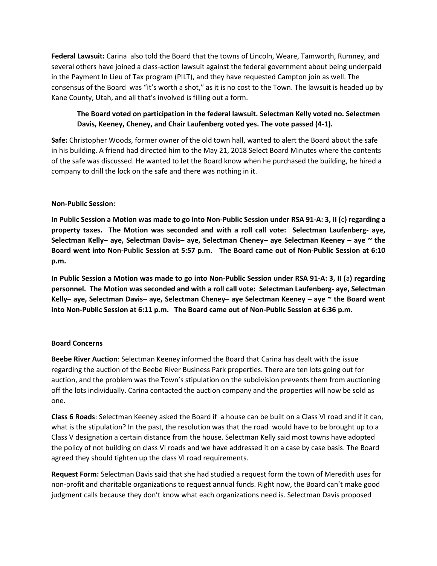**Federal Lawsuit:** Carina also told the Board that the towns of Lincoln, Weare, Tamworth, Rumney, and several others have joined a class-action lawsuit against the federal government about being underpaid in the Payment In Lieu of Tax program (PILT), and they have requested Campton join as well. The consensus of the Board was "it's worth a shot," as it is no cost to the Town. The lawsuit is headed up by Kane County, Utah, and all that's involved is filling out a form.

# **The Board voted on participation in the federal lawsuit. Selectman Kelly voted no. Selectmen Davis, Keeney, Cheney, and Chair Laufenberg voted yes. The vote passed (4-1).**

**Safe:** Christopher Woods, former owner of the old town hall, wanted to alert the Board about the safe in his building. A friend had directed him to the May 21, 2018 Select Board Minutes where the contents of the safe was discussed. He wanted to let the Board know when he purchased the building, he hired a company to drill the lock on the safe and there was nothing in it.

## **Non-Public Session:**

**In Public Session a Motion was made to go into Non-Public Session under RSA 91-A: 3, II (**c**) regarding a property taxes. The Motion was seconded and with a roll call vote: Selectman Laufenberg- aye, Selectman Kelly– aye, Selectman Davis– aye, Selectman Cheney– aye Selectman Keeney – aye ~ the Board went into Non-Public Session at 5:57 p.m. The Board came out of Non-Public Session at 6:10 p.m.**

**In Public Session a Motion was made to go into Non-Public Session under RSA 91-A: 3, II (**a**) regarding personnel. The Motion was seconded and with a roll call vote: Selectman Laufenberg- aye, Selectman Kelly– aye, Selectman Davis– aye, Selectman Cheney– aye Selectman Keeney – aye ~ the Board went into Non-Public Session at 6:11 p.m. The Board came out of Non-Public Session at 6:36 p.m.**

## **Board Concerns**

**Beebe River Auction**: Selectman Keeney informed the Board that Carina has dealt with the issue regarding the auction of the Beebe River Business Park properties. There are ten lots going out for auction, and the problem was the Town's stipulation on the subdivision prevents them from auctioning off the lots individually. Carina contacted the auction company and the properties will now be sold as one.

**Class 6 Roads**: Selectman Keeney asked the Board if a house can be built on a Class VI road and if it can, what is the stipulation? In the past, the resolution was that the road would have to be brought up to a Class V designation a certain distance from the house. Selectman Kelly said most towns have adopted the policy of not building on class VI roads and we have addressed it on a case by case basis. The Board agreed they should tighten up the class VI road requirements.

**Request Form:** Selectman Davis said that she had studied a request form the town of Meredith uses for non-profit and charitable organizations to request annual funds. Right now, the Board can't make good judgment calls because they don't know what each organizations need is. Selectman Davis proposed